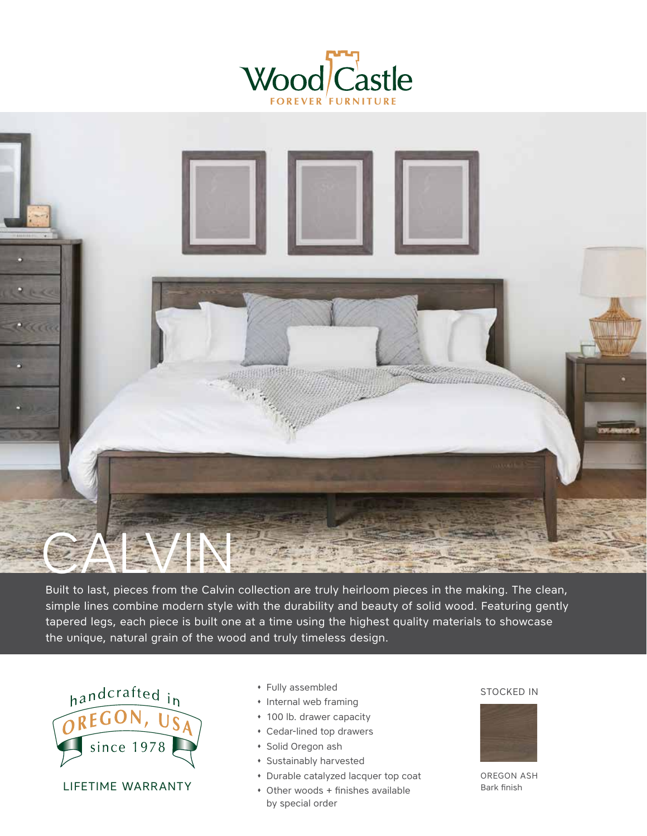



Built to last, pieces from the Calvin collection are truly heirloom pieces in the making. The clean, simple lines combine modern style with the durability and beauty of solid wood. Featuring gently tapered legs, each piece is built one at a time using the highest quality materials to showcase the unique, natural grain of the wood and truly timeless design.



LIFETIME WARRANTY

- � Fully assembled
- � Internal web framing
- � 100 lb. drawer capacity
- � Cedar-lined top drawers
- � Solid Oregon ash
- � Sustainably harvested
- � Durable catalyzed lacquer top coat
- � Other woods + finishes available by special order

### STOCKED IN



OREGON ASH Bark finish